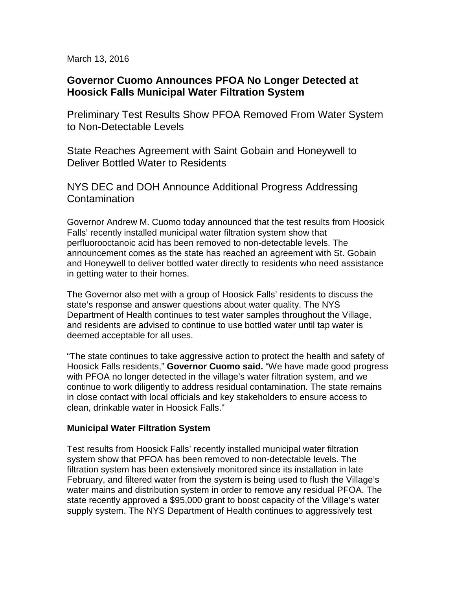March 13, 2016

# **Governor Cuomo Announces PFOA No Longer Detected at Hoosick Falls Municipal Water Filtration System**

Preliminary Test Results Show PFOA Removed From Water System to Non-Detectable Levels

State Reaches Agreement with Saint Gobain and Honeywell to Deliver Bottled Water to Residents

NYS DEC and DOH Announce Additional Progress Addressing Contamination

Governor Andrew M. Cuomo today announced that the test results from Hoosick Falls' recently installed municipal water filtration system show that perfluorooctanoic acid has been removed to non-detectable levels. The announcement comes as the state has reached an agreement with St. Gobain and Honeywell to deliver bottled water directly to residents who need assistance in getting water to their homes.

The Governor also met with a group of Hoosick Falls' residents to discuss the state's response and answer questions about water quality. The NYS Department of Health continues to test water samples throughout the Village, and residents are advised to continue to use bottled water until tap water is deemed acceptable for all uses.

"The state continues to take aggressive action to protect the health and safety of Hoosick Falls residents," **Governor Cuomo said.** "We have made good progress with PFOA no longer detected in the village's water filtration system, and we continue to work diligently to address residual contamination. The state remains in close contact with local officials and key stakeholders to ensure access to clean, drinkable water in Hoosick Falls."

### **Municipal Water Filtration System**

Test results from Hoosick Falls' recently installed municipal water filtration system show that PFOA has been removed to non-detectable levels. The filtration system has been extensively monitored since its installation in late February, and filtered water from the system is being used to flush the Village's water mains and distribution system in order to remove any residual PFOA. The state recently approved a \$95,000 grant to boost capacity of the Village's water supply system. The NYS Department of Health continues to aggressively test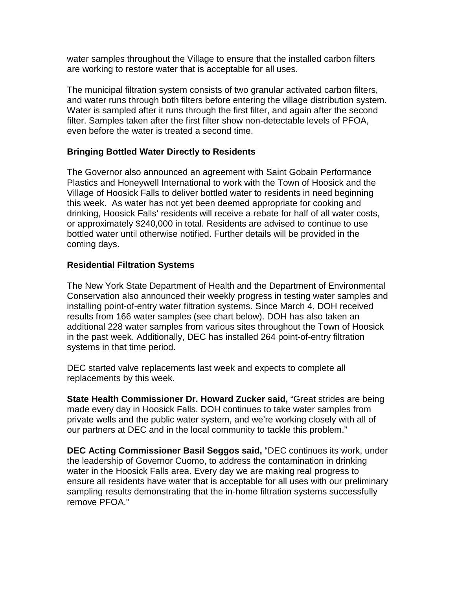water samples throughout the Village to ensure that the installed carbon filters are working to restore water that is acceptable for all uses.

The municipal filtration system consists of two granular activated carbon filters, and water runs through both filters before entering the village distribution system. Water is sampled after it runs through the first filter, and again after the second filter. Samples taken after the first filter show non-detectable levels of PFOA, even before the water is treated a second time.

## **Bringing Bottled Water Directly to Residents**

The Governor also announced an agreement with Saint Gobain Performance Plastics and Honeywell International to work with the Town of Hoosick and the Village of Hoosick Falls to deliver bottled water to residents in need beginning this week. As water has not yet been deemed appropriate for cooking and drinking, Hoosick Falls' residents will receive a rebate for half of all water costs, or approximately \$240,000 in total. Residents are advised to continue to use bottled water until otherwise notified. Further details will be provided in the coming days.

### **Residential Filtration Systems**

The New York State Department of Health and the Department of Environmental Conservation also announced their weekly progress in testing water samples and installing point-of-entry water filtration systems. Since March 4, DOH received results from 166 water samples (see chart below). DOH has also taken an additional 228 water samples from various sites throughout the Town of Hoosick in the past week. Additionally, DEC has installed 264 point-of-entry filtration systems in that time period.

DEC started valve replacements last week and expects to complete all replacements by this week.

**State Health Commissioner Dr. Howard Zucker said,** "Great strides are being made every day in Hoosick Falls. DOH continues to take water samples from private wells and the public water system, and we're working closely with all of our partners at DEC and in the local community to tackle this problem."

**DEC Acting Commissioner Basil Seggos said,** "DEC continues its work, under the leadership of Governor Cuomo, to address the contamination in drinking water in the Hoosick Falls area. Every day we are making real progress to ensure all residents have water that is acceptable for all uses with our preliminary sampling results demonstrating that the in-home filtration systems successfully remove PFOA."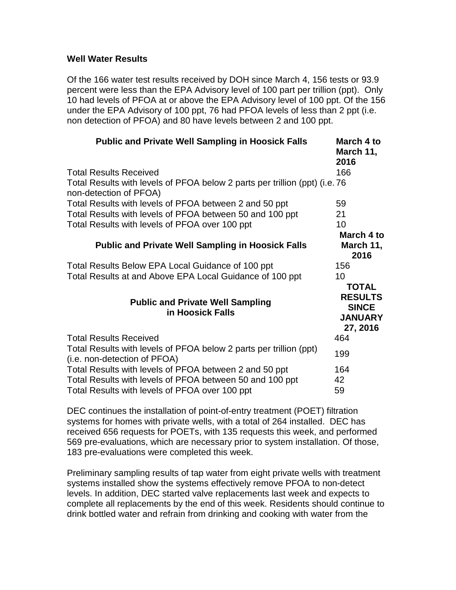#### **Well Water Results**

Of the 166 water test results received by DOH since March 4, 156 tests or 93.9 percent were less than the EPA Advisory level of 100 part per trillion (ppt). Only 10 had levels of PFOA at or above the EPA Advisory level of 100 ppt. Of the 156 under the EPA Advisory of 100 ppt, 76 had PFOA levels of less than 2 ppt (i.e. non detection of PFOA) and 80 have levels between 2 and 100 ppt.

| <b>Public and Private Well Sampling in Hoosick Falls</b>                                              | March 4 to<br>March 11,<br>2016                              |
|-------------------------------------------------------------------------------------------------------|--------------------------------------------------------------|
| <b>Total Results Received</b>                                                                         | 166                                                          |
| Total Results with levels of PFOA below 2 parts per trillion (ppt) (i.e. 76<br>non-detection of PFOA) |                                                              |
| Total Results with levels of PFOA between 2 and 50 ppt                                                | 59                                                           |
| Total Results with levels of PFOA between 50 and 100 ppt                                              | 21                                                           |
| Total Results with levels of PFOA over 100 ppt                                                        | 10                                                           |
|                                                                                                       | March 4 to                                                   |
| <b>Public and Private Well Sampling in Hoosick Falls</b>                                              | March 11,<br>2016                                            |
| Total Results Below EPA Local Guidance of 100 ppt                                                     | 156                                                          |
| Total Results at and Above EPA Local Guidance of 100 ppt                                              | 10<br><b>TOTAL</b>                                           |
| <b>Public and Private Well Sampling</b><br>in Hoosick Falls                                           | <b>RESULTS</b><br><b>SINCE</b><br><b>JANUARY</b><br>27, 2016 |
| <b>Total Results Received</b>                                                                         | 464                                                          |
| Total Results with levels of PFOA below 2 parts per trillion (ppt)<br>(i.e. non-detection of PFOA)    | 199                                                          |
| Total Results with levels of PFOA between 2 and 50 ppt                                                | 164                                                          |
| Total Results with levels of PFOA between 50 and 100 ppt                                              | 42                                                           |
| Total Results with levels of PFOA over 100 ppt                                                        | 59                                                           |

DEC continues the installation of point-of-entry treatment (POET) filtration systems for homes with private wells, with a total of 264 installed. DEC has received 656 requests for POETs, with 135 requests this week, and performed 569 pre-evaluations, which are necessary prior to system installation. Of those, 183 pre-evaluations were completed this week.

Preliminary sampling results of tap water from eight private wells with treatment systems installed show the systems effectively remove PFOA to non-detect levels. In addition, DEC started valve replacements last week and expects to complete all replacements by the end of this week. Residents should continue to drink bottled water and refrain from drinking and cooking with water from the